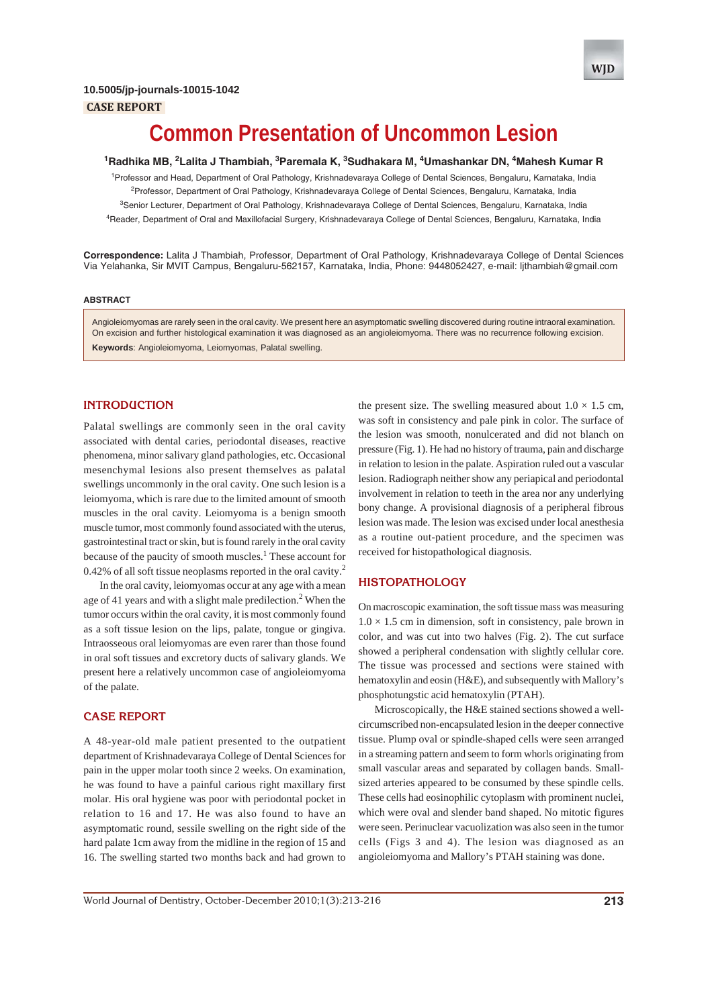



# **Common Presentation of Uncommon Lesion**

**1 Radhika MB, 2 Lalita J Thambiah, 3 Paremala K, 3 Sudhakara M, 4 Umashankar DN, 4 Mahesh Kumar R**

<sup>1</sup>Professor and Head, Department of Oral Pathology, Krishnadevaraya College of Dental Sciences, Bengaluru, Karnataka, India <sup>2</sup>Professor, Department of Oral Pathology, Krishnadevaraya College of Dental Sciences, Bengaluru, Karnataka, India <sup>3</sup>Senior Lecturer, Department of Oral Pathology, Krishnadevaraya College of Dental Sciences, Bengaluru, Karnataka, India 4 Reader, Department of Oral and Maxillofacial Surgery, Krishnadevaraya College of Dental Sciences, Bengaluru, Karnataka, India

**Correspondence:** Lalita J Thambiah, Professor, Department of Oral Pathology, Krishnadevaraya College of Dental Sciences Via Yelahanka, Sir MVIT Campus, Bengaluru-562157, Karnataka, India, Phone: 9448052427, e-mail: ljthambiah@gmail.com

#### **ABSTRACT**

Angioleiomyomas are rarely seen in the oral cavity. We present here an asymptomatic swelling discovered during routine intraoral examination. On excision and further histological examination it was diagnosed as an angioleiomyoma. There was no recurrence following excision. **Keywords**: Angioleiomyoma, Leiomyomas, Palatal swelling.

# **INTRODUCTION**

Palatal swellings are commonly seen in the oral cavity associated with dental caries, periodontal diseases, reactive phenomena, minor salivary gland pathologies, etc. Occasional mesenchymal lesions also present themselves as palatal swellings uncommonly in the oral cavity. One such lesion is a leiomyoma, which is rare due to the limited amount of smooth muscles in the oral cavity. Leiomyoma is a benign smooth muscle tumor, most commonly found associated with the uterus, gastrointestinal tract or skin, but is found rarely in the oral cavity because of the paucity of smooth muscles.<sup>1</sup> These account for 0.42% of all soft tissue neoplasms reported in the oral cavity.<sup>2</sup>

In the oral cavity, leiomyomas occur at any age with a mean age of 41 years and with a slight male predilection.<sup>2</sup> When the tumor occurs within the oral cavity, it is most commonly found as a soft tissue lesion on the lips, palate, tongue or gingiva. Intraosseous oral leiomyomas are even rarer than those found in oral soft tissues and excretory ducts of salivary glands. We present here a relatively uncommon case of angioleiomyoma of the palate.

#### **CASE REPORT**

A 48-year-old male patient presented to the outpatient department of Krishnadevaraya College of Dental Sciences for pain in the upper molar tooth since 2 weeks. On examination, he was found to have a painful carious right maxillary first molar. His oral hygiene was poor with periodontal pocket in relation to 16 and 17. He was also found to have an asymptomatic round, sessile swelling on the right side of the hard palate 1cm away from the midline in the region of 15 and 16. The swelling started two months back and had grown to the present size. The swelling measured about  $1.0 \times 1.5$  cm, was soft in consistency and pale pink in color. The surface of the lesion was smooth, nonulcerated and did not blanch on pressure (Fig. 1). He had no history of trauma, pain and discharge in relation to lesion in the palate. Aspiration ruled out a vascular lesion. Radiograph neither show any periapical and periodontal involvement in relation to teeth in the area nor any underlying bony change. A provisional diagnosis of a peripheral fibrous lesion was made. The lesion was excised under local anesthesia as a routine out-patient procedure, and the specimen was received for histopathological diagnosis.

### **HISTOPATHOLOGY**

On macroscopic examination, the soft tissue mass was measuring  $1.0 \times 1.5$  cm in dimension, soft in consistency, pale brown in color, and was cut into two halves (Fig. 2). The cut surface showed a peripheral condensation with slightly cellular core. The tissue was processed and sections were stained with hematoxylin and eosin (H&E), and subsequently with Mallory's phosphotungstic acid hematoxylin (PTAH).

Microscopically, the H&E stained sections showed a wellcircumscribed non-encapsulated lesion in the deeper connective tissue. Plump oval or spindle-shaped cells were seen arranged in a streaming pattern and seem to form whorls originating from small vascular areas and separated by collagen bands. Smallsized arteries appeared to be consumed by these spindle cells. These cells had eosinophilic cytoplasm with prominent nuclei, which were oval and slender band shaped. No mitotic figures were seen. Perinuclear vacuolization was also seen in the tumor cells (Figs 3 and 4). The lesion was diagnosed as an angioleiomyoma and Mallory's PTAH staining was done.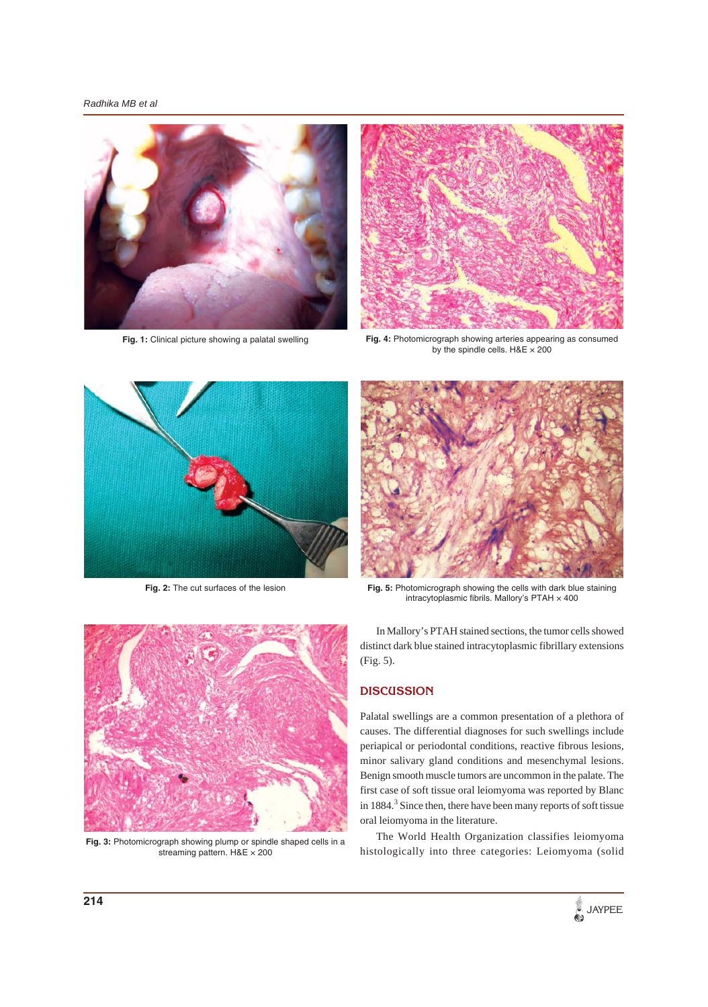*Radhika MB et al*





**Fig. 1:** Clinical picture showing a palatal swelling **Fig. 4:** Photomicrograph showing arteries appearing as consumed by the spindle cells. H&E × 200



**Fig. 2:** The cut surfaces of the lesion



**Fig. 5:** Photomicrograph showing the cells with dark blue staining intracytoplasmic fibrils. Mallory's  $PTAH \times 400$ 



**Fig. 3:** Photomicrograph showing plump or spindle shaped cells in a streaming pattern. H&E × 200

In Mallory's PTAH stained sections, the tumor cells showed distinct dark blue stained intracytoplasmic fibrillary extensions (Fig. 5).

# **DISCUSSION**

Palatal swellings are a common presentation of a plethora of causes. The differential diagnoses for such swellings include periapical or periodontal conditions, reactive fibrous lesions, minor salivary gland conditions and mesenchymal lesions. Benign smooth muscle tumors are uncommon in the palate. The first case of soft tissue oral leiomyoma was reported by Blanc in 1884.<sup>3</sup> Since then, there have been many reports of soft tissue oral leiomyoma in the literature.

The World Health Organization classifies leiomyoma histologically into three categories: Leiomyoma (solid

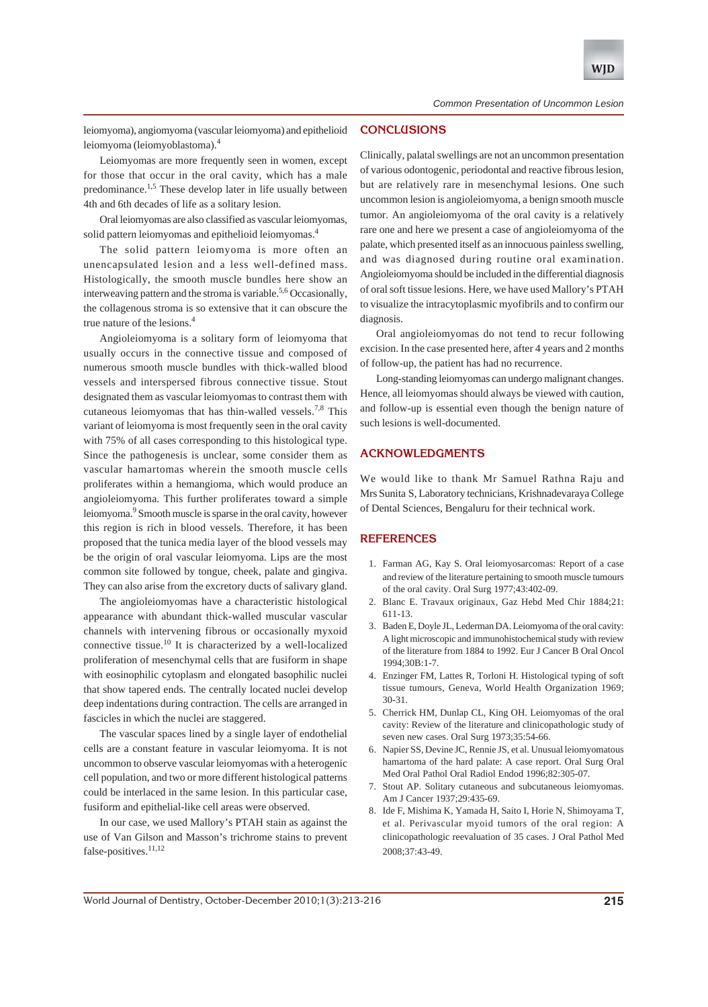

leiomyoma), angiomyoma (vascular leiomyoma) and epithelioid leiomyoma (leiomyoblastoma).<sup>4</sup>

Leiomyomas are more frequently seen in women, except for those that occur in the oral cavity, which has a male predominance.<sup>1,5</sup> These develop later in life usually between 4th and 6th decades of life as a solitary lesion.

Oral leiomyomas are also classified as vascular leiomyomas, solid pattern leiomyomas and epithelioid leiomyomas.<sup>4</sup>

The solid pattern leiomyoma is more often an unencapsulated lesion and a less well-defined mass. Histologically, the smooth muscle bundles here show an interweaving pattern and the stroma is variable.<sup>5,6</sup> Occasionally, the collagenous stroma is so extensive that it can obscure the true nature of the lesions.4

Angioleiomyoma is a solitary form of leiomyoma that usually occurs in the connective tissue and composed of numerous smooth muscle bundles with thick-walled blood vessels and interspersed fibrous connective tissue. Stout designated them as vascular leiomyomas to contrast them with cutaneous leiomyomas that has thin-walled vessels.<sup>7,8</sup> This variant of leiomyoma is most frequently seen in the oral cavity with 75% of all cases corresponding to this histological type. Since the pathogenesis is unclear, some consider them as vascular hamartomas wherein the smooth muscle cells proliferates within a hemangioma, which would produce an angioleiomyoma. This further proliferates toward a simple leiomyoma.<sup>9</sup> Smooth muscle is sparse in the oral cavity, however this region is rich in blood vessels. Therefore, it has been proposed that the tunica media layer of the blood vessels may be the origin of oral vascular leiomyoma. Lips are the most common site followed by tongue, cheek, palate and gingiva. They can also arise from the excretory ducts of salivary gland.

The angioleiomyomas have a characteristic histological appearance with abundant thick-walled muscular vascular channels with intervening fibrous or occasionally myxoid connective tissue.10 It is characterized by a well-localized proliferation of mesenchymal cells that are fusiform in shape with eosinophilic cytoplasm and elongated basophilic nuclei that show tapered ends. The centrally located nuclei develop deep indentations during contraction. The cells are arranged in fascicles in which the nuclei are staggered.

The vascular spaces lined by a single layer of endothelial cells are a constant feature in vascular leiomyoma. It is not uncommon to observe vascular leiomyomas with a heterogenic cell population, and two or more different histological patterns could be interlaced in the same lesion. In this particular case, fusiform and epithelial-like cell areas were observed.

In our case, we used Mallory's PTAH stain as against the use of Van Gilson and Masson's trichrome stains to prevent false-positives.<sup>11,12</sup>

#### **CONCLUSIONS**

Clinically, palatal swellings are not an uncommon presentation of various odontogenic, periodontal and reactive fibrous lesion, but are relatively rare in mesenchymal lesions. One such uncommon lesion is angioleiomyoma, a benign smooth muscle tumor. An angioleiomyoma of the oral cavity is a relatively rare one and here we present a case of angioleiomyoma of the palate, which presented itself as an innocuous painless swelling, and was diagnosed during routine oral examination. Angioleiomyoma should be included in the differential diagnosis of oral soft tissue lesions. Here, we have used Mallory's PTAH to visualize the intracytoplasmic myofibrils and to confirm our diagnosis.

Oral angioleiomyomas do not tend to recur following excision. In the case presented here, after 4 years and 2 months of follow-up, the patient has had no recurrence.

Long-standing leiomyomas can undergo malignant changes. Hence, all leiomyomas should always be viewed with caution, and follow-up is essential even though the benign nature of such lesions is well-documented.

## **ACKNOWLEDGMENTS**

We would like to thank Mr Samuel Rathna Raju and Mrs Sunita S, Laboratory technicians, Krishnadevaraya College of Dental Sciences, Bengaluru for their technical work.

### **REFERENCES**

- 1. Farman AG, Kay S. Oral leiomyosarcomas: Report of a case and review of the literature pertaining to smooth muscle tumours of the oral cavity. Oral Surg 1977;43:402-09.
- 2. Blanc E. Travaux originaux, Gaz Hebd Med Chir 1884;21: 611-13.
- 3. Baden E, Doyle JL, Lederman DA. Leiomyoma of the oral cavity: A light microscopic and immunohistochemical study with review of the literature from 1884 to 1992. Eur J Cancer B Oral Oncol 1994;30B:1-7.
- 4. Enzinger FM, Lattes R, Torloni H. Histological typing of soft tissue tumours, Geneva, World Health Organization 1969; 30-31.
- 5. Cherrick HM, Dunlap CL, King OH. Leiomyomas of the oral cavity: Review of the literature and clinicopathologic study of seven new cases. Oral Surg 1973;35:54-66.
- 6. Napier SS, Devine JC, Rennie JS, et al. Unusual leiomyomatous hamartoma of the hard palate: A case report. Oral Surg Oral Med Oral Pathol Oral Radiol Endod 1996;82:305-07.
- 7. Stout AP. Solitary cutaneous and subcutaneous leiomyomas. Am J Cancer 1937;29:435-69.
- 8. Ide F, Mishima K, Yamada H, Saito I, Horie N, Shimoyama T, et al. Perivascular myoid tumors of the oral region: A clinicopathologic reevaluation of 35 cases. J Oral Pathol Med 2008;37:43-49.